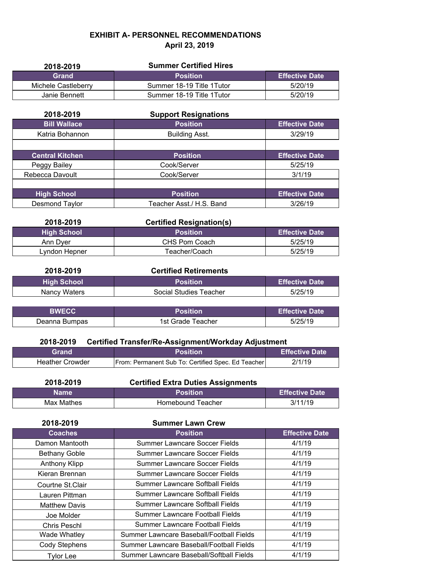## **EXHIBIT A- PERSONNEL RECOMMENDATIONS April 23, 2019**

| 2018-2019           | <b>Summer Certified Hires</b> |                       |
|---------------------|-------------------------------|-----------------------|
| <b>Grand</b>        | <b>Position</b>               | <b>Effective Date</b> |
| Michele Castleberry | Summer 18-19 Title 1 Tutor    | 5/20/19               |
| Janie Bennett       | Summer 18-19 Title 1 Tutor    | 5/20/19               |

| 2018-2019              | <b>Support Resignations</b> |                       |
|------------------------|-----------------------------|-----------------------|
| <b>Bill Wallace</b>    | <b>Position</b>             | <b>Effective Date</b> |
| Katria Bohannon        | <b>Building Asst.</b>       | 3/29/19               |
|                        |                             |                       |
| <b>Central Kitchen</b> | <b>Position</b>             | <b>Effective Date</b> |
| Peggy Bailey           | Cook/Server                 | 5/25/19               |
| Rebecca Davoult        | Cook/Server                 | 3/1/19                |
|                        |                             |                       |
| <b>High School</b>     | <b>Position</b>             | <b>Effective Date</b> |
| Desmond Taylor         | Teacher Asst./ H.S. Band    | 3/26/19               |

| 2018-2019          | <b>Certified Resignation(s)</b> |                          |
|--------------------|---------------------------------|--------------------------|
| <b>High School</b> | <b>Position</b>                 | <b>LEffective Date</b> \ |
| Ann Dver           | CHS Pom Coach                   | 5/25/19                  |
| Lvndon Hepner      | Teacher/Coach                   | 5/25/19                  |

| 2018-2019     | <b>Certified Retirements</b> |                       |
|---------------|------------------------------|-----------------------|
| High School \ | <b>Position</b>              | <b>Effective Date</b> |
| Nancy Waters  | Social Studies Teacher       | 5/25/19               |

| <b>RWFCC</b>  | Position          | <b>Effective Date</b> |
|---------------|-------------------|-----------------------|
| Deanna Bumpas | 1st Grade Teacher | 5/25/19               |

## **2018-2019 Certified Transfer/Re-Assignment/Workday Adjustment**

| Grand                  | <b>Position</b>                                    | <b>Effective Date \</b> |
|------------------------|----------------------------------------------------|-------------------------|
| <b>Heather Crowder</b> | From: Permanent Sub To: Certified Spec. Ed Teacher | 2/1/19                  |

| 2018-2019   | <b>Certified Extra Duties Assignments</b> |                       |
|-------------|-------------------------------------------|-----------------------|
| <b>Name</b> | <b>Position</b>                           | <b>Effective Date</b> |
| Max Mathes  | Homebound Teacher                         | 3/11/19               |

| 2018-2019            | <b>Summer Lawn Crew</b>                  |                       |
|----------------------|------------------------------------------|-----------------------|
| <b>Coaches</b>       | <b>Position</b>                          | <b>Effective Date</b> |
| Damon Mantooth       | Summer Lawncare Soccer Fields            | 4/1/19                |
| <b>Bethany Goble</b> | Summer Lawncare Soccer Fields            | 4/1/19                |
| Anthony Klipp        | Summer Lawncare Soccer Fields            | 4/1/19                |
| Kieran Brennan       | Summer Lawncare Soccer Fields            | 4/1/19                |
| Courtne St.Clair     | <b>Summer Lawncare Softball Fields</b>   | 4/1/19                |
| Lauren Pittman       | <b>Summer Lawncare Softball Fields</b>   | 4/1/19                |
| <b>Matthew Davis</b> | Summer Lawncare Softball Fields          | 4/1/19                |
| Joe Molder           | <b>Summer Lawncare Football Fields</b>   | 4/1/19                |
| Chris Peschl         | Summer Lawncare Football Fields          | 4/1/19                |
| Wade Whatley         | Summer Lawncare Baseball/Football Fields | 4/1/19                |
| Cody Stephens        | Summer Lawncare Baseball/Football Fields | 4/1/19                |
| <b>Tylor Lee</b>     | Summer Lawncare Baseball/Softball Fields | 4/1/19                |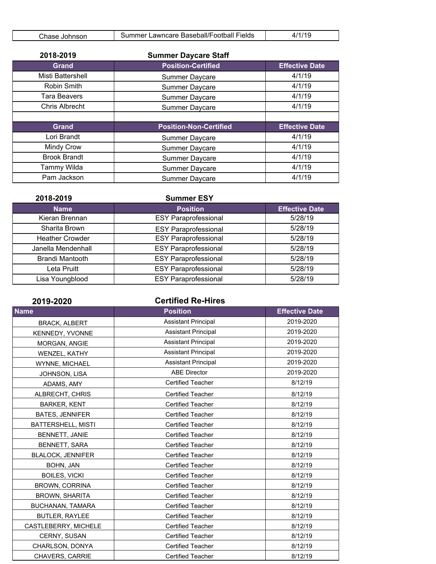| ش∆hase<br>Johnson | Lawncare Baseball/Football Fields<br>Summer. |  |
|-------------------|----------------------------------------------|--|
|                   |                                              |  |

| 2018-2019             | <b>Summer Daycare Staff</b>   |                       |
|-----------------------|-------------------------------|-----------------------|
| <b>Grand</b>          | <b>Position-Certified</b>     | <b>Effective Date</b> |
| Misti Battershell     | Summer Daycare                | 4/1/19                |
| Robin Smith           | Summer Daycare                | 4/1/19                |
| Tara Beavers          | Summer Daycare                | 4/1/19                |
| <b>Chris Albrecht</b> | Summer Daycare                | 4/1/19                |
|                       |                               |                       |
| <b>Grand</b>          | <b>Position-Non-Certified</b> | <b>Effective Date</b> |
| Lori Brandt           | Summer Daycare                | 4/1/19                |
| Mindy Crow            | Summer Daycare                | 4/1/19                |
| <b>Brook Brandt</b>   | <b>Summer Daycare</b>         | 4/1/19                |
| Tammy Wilda           | Summer Daycare                | 4/1/19                |
| Pam Jackson           | Summer Daycare                | 4/1/19                |

| 2018-2019              | <b>Summer ESY</b>           |                       |
|------------------------|-----------------------------|-----------------------|
| <b>Name</b>            | <b>Position</b>             | <b>Effective Date</b> |
| Kieran Brennan         | <b>ESY Paraprofessional</b> | 5/28/19               |
| Sharita Brown          | <b>ESY Paraprofessional</b> | 5/28/19               |
| <b>Heather Crowder</b> | <b>ESY Paraprofessional</b> | 5/28/19               |
| Janella Mendenhall     | <b>ESY Paraprofessional</b> | 5/28/19               |
| <b>Brandi Mantooth</b> | <b>ESY Paraprofessional</b> | 5/28/19               |
| Leta Pruitt            | <b>ESY Paraprofessional</b> | 5/28/19               |
| Lisa Youngblood        | <b>ESY Paraprofessional</b> | 5/28/19               |

| 2019-2020                | <b>Certified Re-Hires</b>  |                       |
|--------------------------|----------------------------|-----------------------|
| <b>Name</b>              | <b>Position</b>            | <b>Effective Date</b> |
| <b>BRACK, ALBERT</b>     | <b>Assistant Principal</b> | 2019-2020             |
| KENNEDY, YVONNE          | <b>Assistant Principal</b> | 2019-2020             |
| MORGAN, ANGIE            | <b>Assistant Principal</b> | 2019-2020             |
| WENZEL, KATHY            | <b>Assistant Principal</b> | 2019-2020             |
| <b>WYNNE, MICHAEL</b>    | <b>Assistant Principal</b> | 2019-2020             |
| JOHNSON, LISA            | <b>ABE Director</b>        | 2019-2020             |
| ADAMS, AMY               | <b>Certified Teacher</b>   | 8/12/19               |
| ALBRECHT, CHRIS          | <b>Certified Teacher</b>   | 8/12/19               |
| <b>BARKER, KENT</b>      | <b>Certified Teacher</b>   | 8/12/19               |
| <b>BATES, JENNIFER</b>   | <b>Certified Teacher</b>   | 8/12/19               |
| BATTERSHELL, MISTI       | Certified Teacher          | 8/12/19               |
| BENNETT, JANIE           | <b>Certified Teacher</b>   | 8/12/19               |
| <b>BENNETT, SARA</b>     | <b>Certified Teacher</b>   | 8/12/19               |
| <b>BLALOCK, JENNIFER</b> | <b>Certified Teacher</b>   | 8/12/19               |
| BOHN, JAN                | <b>Certified Teacher</b>   | 8/12/19               |
| <b>BOILES, VICKI</b>     | <b>Certified Teacher</b>   | 8/12/19               |
| <b>BROWN, CORRINA</b>    | <b>Certified Teacher</b>   | 8/12/19               |
| <b>BROWN, SHARITA</b>    | <b>Certified Teacher</b>   | 8/12/19               |
| BUCHANAN, TAMARA         | <b>Certified Teacher</b>   | 8/12/19               |
| <b>BUTLER, RAYLEE</b>    | <b>Certified Teacher</b>   | 8/12/19               |
| CASTLEBERRY, MICHELE     | <b>Certified Teacher</b>   | 8/12/19               |
| CERNY, SUSAN             | <b>Certified Teacher</b>   | 8/12/19               |
| CHARLSON, DONYA          | <b>Certified Teacher</b>   | 8/12/19               |
| <b>CHAVERS, CARRIE</b>   | <b>Certified Teacher</b>   | 8/12/19               |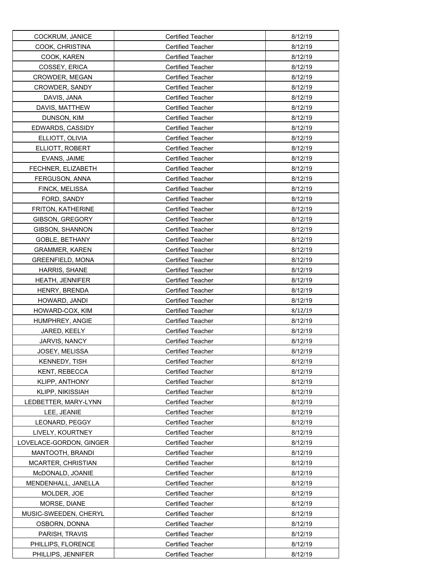| COCKRUM, JANICE         | <b>Certified Teacher</b> | 8/12/19 |
|-------------------------|--------------------------|---------|
| COOK, CHRISTINA         | <b>Certified Teacher</b> | 8/12/19 |
| COOK, KAREN             | <b>Certified Teacher</b> | 8/12/19 |
| COSSEY, ERICA           | <b>Certified Teacher</b> | 8/12/19 |
| <b>CROWDER, MEGAN</b>   | <b>Certified Teacher</b> | 8/12/19 |
| CROWDER, SANDY          | <b>Certified Teacher</b> | 8/12/19 |
| DAVIS, JANA             | <b>Certified Teacher</b> | 8/12/19 |
| DAVIS, MATTHEW          | <b>Certified Teacher</b> | 8/12/19 |
| DUNSON, KIM             | <b>Certified Teacher</b> | 8/12/19 |
| EDWARDS, CASSIDY        | <b>Certified Teacher</b> | 8/12/19 |
| ELLIOTT, OLIVIA         | <b>Certified Teacher</b> | 8/12/19 |
| ELLIOTT, ROBERT         | <b>Certified Teacher</b> | 8/12/19 |
| EVANS, JAIME            | Certified Teacher        | 8/12/19 |
| FECHNER, ELIZABETH      | <b>Certified Teacher</b> | 8/12/19 |
| FERGUSON, ANNA          | <b>Certified Teacher</b> | 8/12/19 |
| FINCK, MELISSA          | <b>Certified Teacher</b> | 8/12/19 |
| FORD, SANDY             | Certified Teacher        | 8/12/19 |
| FRITON, KATHERINE       | <b>Certified Teacher</b> | 8/12/19 |
| GIBSON, GREGORY         | <b>Certified Teacher</b> | 8/12/19 |
| GIBSON, SHANNON         | Certified Teacher        | 8/12/19 |
| GOBLE, BETHANY          | <b>Certified Teacher</b> | 8/12/19 |
| <b>GRAMMER, KAREN</b>   | <b>Certified Teacher</b> | 8/12/19 |
| <b>GREENFIELD, MONA</b> | <b>Certified Teacher</b> | 8/12/19 |
| HARRIS, SHANE           | <b>Certified Teacher</b> | 8/12/19 |
| <b>HEATH, JENNIFER</b>  | <b>Certified Teacher</b> | 8/12/19 |
| HENRY, BRENDA           | <b>Certified Teacher</b> | 8/12/19 |
| HOWARD, JANDI           | <b>Certified Teacher</b> | 8/12/19 |
| HOWARD-COX, KIM         | <b>Certified Teacher</b> | 8/12/19 |
| HUMPHREY, ANGIE         | <b>Certified Teacher</b> | 8/12/19 |
| JARED, KEELY            | <b>Certified Teacher</b> | 8/12/19 |
| JARVIS, NANCY           | <b>Certified Teacher</b> | 8/12/19 |
| JOSEY, MELISSA          | Certified Teacher        | 8/12/19 |
| KENNEDY, TISH           | <b>Certified Teacher</b> | 8/12/19 |
| KENT, REBECCA           | <b>Certified Teacher</b> | 8/12/19 |
| KLIPP, ANTHONY          | <b>Certified Teacher</b> | 8/12/19 |
| KLIPP, NIKISSIAH        | <b>Certified Teacher</b> | 8/12/19 |
| LEDBETTER, MARY-LYNN    | Certified Teacher        | 8/12/19 |
| LEE, JEANIE             | <b>Certified Teacher</b> | 8/12/19 |
| LEONARD, PEGGY          | <b>Certified Teacher</b> | 8/12/19 |
| LIVELY. KOURTNEY        | <b>Certified Teacher</b> | 8/12/19 |
| LOVELACE-GORDON, GINGER | <b>Certified Teacher</b> | 8/12/19 |
| MANTOOTH, BRANDI        | <b>Certified Teacher</b> | 8/12/19 |
| MCARTER, CHRISTIAN      | <b>Certified Teacher</b> | 8/12/19 |
| McDONALD, JOANIE        | Certified Teacher        | 8/12/19 |
| MENDENHALL, JANELLA     | <b>Certified Teacher</b> | 8/12/19 |
| MOLDER, JOE             | <b>Certified Teacher</b> | 8/12/19 |
| MORSE, DIANE            | <b>Certified Teacher</b> | 8/12/19 |
| MUSIC-SWEEDEN, CHERYL   | <b>Certified Teacher</b> | 8/12/19 |
| OSBORN, DONNA           | <b>Certified Teacher</b> | 8/12/19 |
| PARISH, TRAVIS          | <b>Certified Teacher</b> | 8/12/19 |
| PHILLIPS, FLORENCE      | <b>Certified Teacher</b> | 8/12/19 |
| PHILLIPS, JENNIFER      | <b>Certified Teacher</b> | 8/12/19 |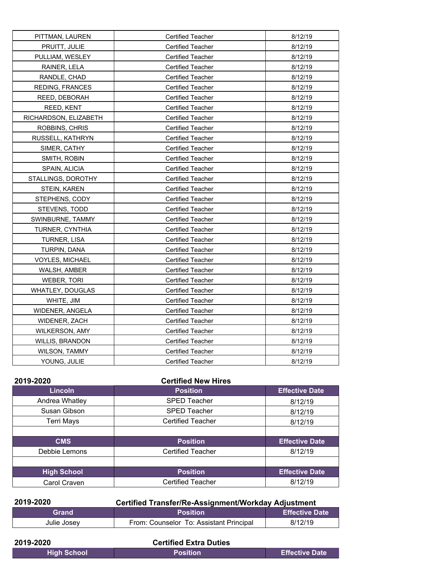| PITTMAN, LAUREN         | <b>Certified Teacher</b> | 8/12/19 |
|-------------------------|--------------------------|---------|
| PRUITT, JULIE           | <b>Certified Teacher</b> | 8/12/19 |
| PULLIAM, WESLEY         | Certified Teacher        | 8/12/19 |
| RAINER, LELA            | <b>Certified Teacher</b> | 8/12/19 |
| RANDLE, CHAD            | Certified Teacher        | 8/12/19 |
| REDING, FRANCES         | <b>Certified Teacher</b> | 8/12/19 |
| REED, DEBORAH           | <b>Certified Teacher</b> | 8/12/19 |
| REED, KENT              | <b>Certified Teacher</b> | 8/12/19 |
| RICHARDSON, ELIZABETH   | <b>Certified Teacher</b> | 8/12/19 |
| ROBBINS, CHRIS          | <b>Certified Teacher</b> | 8/12/19 |
| RUSSELL, KATHRYN        | <b>Certified Teacher</b> | 8/12/19 |
| SIMER, CATHY            | Certified Teacher        | 8/12/19 |
| SMITH, ROBIN            | <b>Certified Teacher</b> | 8/12/19 |
| SPAIN, ALICIA           | <b>Certified Teacher</b> | 8/12/19 |
| STALLINGS, DOROTHY      | <b>Certified Teacher</b> | 8/12/19 |
| <b>STEIN, KAREN</b>     | <b>Certified Teacher</b> | 8/12/19 |
| STEPHENS, CODY          | <b>Certified Teacher</b> | 8/12/19 |
| STEVENS, TODD           | <b>Certified Teacher</b> | 8/12/19 |
| SWINBURNE, TAMMY        | <b>Certified Teacher</b> | 8/12/19 |
| TURNER, CYNTHIA         | <b>Certified Teacher</b> | 8/12/19 |
| TURNER, LISA            | <b>Certified Teacher</b> | 8/12/19 |
| TURPIN, DANA            | <b>Certified Teacher</b> | 8/12/19 |
| <b>VOYLES, MICHAEL</b>  | <b>Certified Teacher</b> | 8/12/19 |
| WALSH, AMBER            | <b>Certified Teacher</b> | 8/12/19 |
| WEBER, TORI             | <b>Certified Teacher</b> | 8/12/19 |
| <b>WHATLEY, DOUGLAS</b> | <b>Certified Teacher</b> | 8/12/19 |
| WHITE, JIM              | <b>Certified Teacher</b> | 8/12/19 |
| WIDENER, ANGELA         | <b>Certified Teacher</b> | 8/12/19 |
| WIDENER, ZACH           | <b>Certified Teacher</b> | 8/12/19 |
| WILKERSON, AMY          | Certified Teacher        | 8/12/19 |
| <b>WILLIS, BRANDON</b>  | <b>Certified Teacher</b> | 8/12/19 |
| <b>WILSON, TAMMY</b>    | <b>Certified Teacher</b> | 8/12/19 |
| YOUNG, JULIE            | <b>Certified Teacher</b> | 8/12/19 |

| 2019-2020          | <b>Certified New Hires</b> |                       |
|--------------------|----------------------------|-----------------------|
| <b>Lincoln</b>     | <b>Position</b>            | <b>Effective Date</b> |
| Andrea Whatley     | <b>SPED Teacher</b>        | 8/12/19               |
| Susan Gibson       | <b>SPED Teacher</b>        | 8/12/19               |
| <b>Terri Mays</b>  | <b>Certified Teacher</b>   | 8/12/19               |
|                    |                            |                       |
| <b>CMS</b>         | <b>Position</b>            | <b>Effective Date</b> |
| Debbie Lemons      | <b>Certified Teacher</b>   | 8/12/19               |
|                    |                            |                       |
| <b>High School</b> | <b>Position</b>            | <b>Effective Date</b> |
| Carol Craven       | <b>Certified Teacher</b>   | 8/12/19               |

| 2019-2020    | <b>Certified Transfer/Re-Assignment/Workday Adjustment</b> |                       |
|--------------|------------------------------------------------------------|-----------------------|
| <b>Grand</b> | <b>Position</b>                                            | <b>Effective Date</b> |
| Julie Josey  | From: Counselor To: Assistant Principal                    | 8/12/19               |

| 2019-2020          | <b>Certified Extra Duties</b> |                |
|--------------------|-------------------------------|----------------|
| <b>High School</b> | <b>Position</b>               | Effective Date |